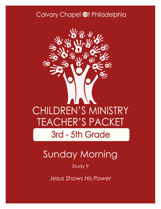### Calvary Chapel @f Philadelphia



# Sunday Morning

Study 9

*Jesus Shows His Power*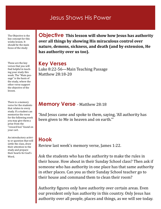### Jesus Shows His Power

The Objective is the key concept for this weeks lesson. It should be the main focus of the study

These are the key verses that you will find helpful in teaching your study this week. The "Main passage" is the basis of the study, where the other verse support the objective of the lesson.

There is a memory verse for the students that relates to every study. If a student can memorize the verse for the following week you may give them a prize from the "reward box" found on your cart.

An introductory activity or question that will settle the class, draw their attention to the study and prepare their hearts for God's Word.

**Objective This lesson will show how Jesus has authority over all things by showing His miraculous control over nature, demons, sickness, and death (and by extension, He has authority over us too).**

#### **Key Verses**

Luke 8:22-56—Main Teaching Passage Matthew 28:18-20

#### **Memory Verse** - Matthew 28:18

"And Jesus came and spoke to them, saying, 'All authority has been given to Me in heaven and on earth.'"

#### **Hook**

Review last week's memory verse, James 1:22.

Ask the students who has the authority to make the rules in their house. How about in their Sunday School class? Then ask if someone who has authority in one place has that same authority in other places. Can you as their Sunday School teacher go to their house and command them to clean their room?

Authority figures only have authority over certain areas. Even our president only has authority in this country. Only Jesus has authority over all people, places and things, as we will see today.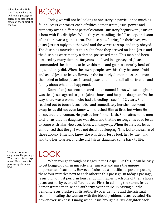What does the Bible say? This is where we will read a passage or series of passages that teach on the subject of the day.

# BOOK

Today, we will not be looking at one story in particular so much as four successive stories, each of which demonstrate Jesus' power and authority over a different part of creation. Our story begins with Jesus on a boat with His disciples. While they were sailing, He fell asleep, and soon after, there was a giant storm. The disciples, fearing for their lives, woke Jesus. Jesus simply told the wind and the waves to stop, and they obeyed. The disciples marveled at this sight. Once they arrived on land, Jesus and the disciples were met by a demon-possessed man. This man had been tortured by many demons for years and lived in a graveyard. Jesus commanded the demons to leave this man and go into a nearby herd of pigs, and they did. When the townspeople saw this, they became afraid and asked Jesus to leave. However, the formerly demon-possessed man then tried to follow Jesus. Instead, Jesus told him to tell all his friends and family about what had happened.

Soon after, Jesus encountered a man named Jairus whose daughter was sick. Jesus agreed to go to Jairus' house and help his daughter. On the way, there was a woman who had a bleeding issue for 12 years. She reached out to touch Jesus' robe, and immediately her sickness went away. Jesus did not even know who touched Him at first, but when He discovered the woman, He praised her for her faith. Soon after, some men told Jairus that his daughter was dead and that he no longer needed Jesus to come with him. However, Jesus went anyway. When He arrived, Jesus announced that the girl was not dead but sleeping. This led to the scorn of those around Him who knew she was dead. Jesus took her by the hand and told her to arise, and she did. Jairus' daughter came back to life.

The interpretation/ exegesis of the passage. What does this passage mean? How does this passage apply to my life?

# LOOK

When you go through passages in the Gospel like this, it can be easy to get bogged down in miracle after miracle and miss the unique importance of each one. However, Luke had a specific purpose in putting these four miracles next to each other in this passage. In today's passage, Jesus did not just perform four random miracles. Each one of them shows Jesus' authority over a different area. First, in calming the storm, Jesus demonstrated that He had authority over nature. In casting out the demons, Jesus displayed His authority over demons and the spiritual realm. In healing the woman with the blood problem, Jesus revealed His power over sickness. Finally, when Jesus brought Jairus' daughter back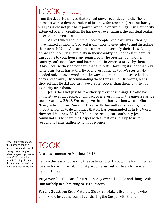## LOOK (Continued)

from the dead, He proved that He had power over death itself. These miracles were a demonstration of just how far-reaching Jesus' authority was. Jesus did not just have power over one or two things. Jesus' authority extended over all creation. He has power over nature, the spiritual realm, disease, and even death.

As we talked about in the Hook, people who have any authority have limited authority. A parent is only able to give rules to and discipline their own children. A teacher has command over only their class. A king or president only has authority in their country. Someone else's parents can't come to your house and punish you. The president of another country can't make laws and force people in America to live by them. Why? Because they do not have that authority. However, it is not that way with Jesus. Jesus has authority over everything. In today's stories, He needed only to say a word, and the waves, demons, and disease had to obey and go away. By commanding these things with His words, Jesus showed that He did not just have greater power than them, but He had authority over them.

Jesus does not just have authority over these things. He also has authority over all people, and in fact over everything in the universe as we see in Matthew 28:18. We recognize that authority when we call Him "Lord," which means "master." Because He has authority over us, it is important for us to do all things that He has commanded us in His Word. Now read Matthew 28:18-20. In response to Jesus' authority, Jesus commands us to share the Gospel with all nations. It is up to us to respond to Jesus' authority with obedience.

What is my response to this passage of Scripture? How should my life change according to what this passage teaches me? What are the practical things I can do throughout the week to make this true in my life?

## TOOK

As a class, memorize Matthew 28:18.

Review the lesson by asking the students to go through the four miracles we saw today and explain what part of Jesus' authority each miracle demonstrates.

**Pray:** Worship the Lord for His authority over all people and things. Ask Him for help in submitting to His authority.

**Parent Question:** Read Matthew 28:18-20. Make a list of people who don't know Jesus and commit to sharing the Gospel with them.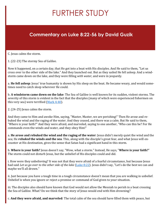## FURTHER STUDY

### **Commentary on Luke 8:22-56 by David Guzik**

C. Jesus calms the storm.

1. (22-23) The stormy Sea of Galilee.

Now it happened, on a certain day, that He got into a boat with His disciples. And He said to them, "Let us cross over to the other side of the lake." And they launched out. But as they sailed He fell asleep. And a windstorm came down on the lake, and they were filling *with water,* and were in jeopardy.

a. **He fell asleep**: Jesus' true humanity is shown by His sleep on the boat. He became weary, and would sometimes need to catch sleep wherever He could.

b. **A windstorm came down on the lake**: The Sea of Galilee is well known for its sudden, violent storms. The severity of this storm is evident in the fact that the disciples (many of which were experienced fishermen on this very sea) were terrified  $(Mark 4:40)$ .

2. (24-25) Jesus calms the storm.

And they came to Him and awoke Him, saying, "Master, Master, we are perishing!" Then He arose and rebuked the wind and the raging of the water. And they ceased, and there was a calm. But He said to them, "Where is your faith?" And they were afraid, and marveled, saying to one another, "Who can this be? For He commands even the winds and water, and they obey Him!"

a. **He arose and rebuked the wind and the raging of the water**: Jesus didn't merely quiet the wind and the sea; He *rebuked* **the winds and the sea**. This, along with the disciple's great fear, and what Jesus will encounter at His destination, gives the sense that Satan had a significant hand in this storm.

b. **Where is your faith?** Jesus doesn't say, "Wow, what a storm." Instead, He says, "**Where is your faith?**" The storm could not disturb Jesus, but the unbelief of His disciples could and did.

i. How were they unbelieving? It was not that they were afraid of a fearful circumstance, but because Jesus had said *Let us go over to the other side of the lake* ([Luke 8:22\)](https://www.blueletterbible.org/kjv/Luk/8/22/s_981022). Jesus didn't say, "Let's do the best we can and maybe we'll all drown."

ii. Just because you have a tough time in a tough circumstance doesn't mean that you are walking in unbelief. Unbelief is when you ignore or reject a promise or command of God given to your situation.

iii. The disciples also should have known that God would not allow the Messiah to perish in a boat crossing the Sea of Galilee. What? Do we think that the story of Jesus would end with Him drowning?

c. **And they were afraid, and marveled**: The total calm of the sea should have filled them with peace, but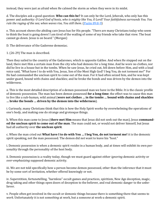instead, they were just as afraid when He calmed the storm as when they were in its midst.

d. The disciples ask a good question: **Who can this be?** It can only be the Lord, Jehovah, who only has this power and authority: *O Lord God of hosts, who is mighty like You, O Lord? Your faithfulness surrounds You. You rule the raging of the sea; when waves rise, You still them.* [\(Psalm 89:8](https://www.blueletterbible.org/kjv/Psa/89/8-9/s_567008)-9)

e. This account shows the abiding care Jesus has for His people. "There are many Christians today who seem to think the boat is going down! I am tired of the wailing of some of my friends who take that view. The boat cannot go down. Jesus is on board." (Morgan)

D. The deliverance of the Gaderene demoniac.

1. (26-29) The man is described.

Then they sailed to the country of the Gadarenes, which is opposite Galilee. And when He stepped out on the land, there met Him a certain man from the city who had demons for a long time. And he wore no clothes, nor did he live in a house but in the tombs. When he saw Jesus, he cried out, fell down before Him, and with a loud voice said, "What have I to do with You, Jesus, Son of the Most High God? I beg You, do not torment me!" For He had commanded the unclean spirit to come out of the man. For it had often seized him, and he was kept under guard, bound with chains and shackles; and he broke the bonds and was driven by the demon into the wilderness.

a. This is the most detailed description of a demon possessed man we have in the Bible. It is the classic profile of demonic possession. The man has been demon possessed **for a long time**; the effect was to cause this man to live like a sub-human, wild animal (**wore not clothes … in the tombs … bound with chains and shackles … broke the bonds … driven by the demon into the wilderness**).

i. Curiously, many Christians think that this is how the Holy Spirit works-by overwhelming the operations of one's body, and making one do strange and grotesque things.

b. When this man came to Jesus (**there met Him** means that Jesus did not seek out the man), Jesus **commanded the unclean spirit to come out of the man**. The man could not, or would not deliver himself, but Jesus had all authority over **the unclean spirit**.

c. When the man cried out **What have I to do with You … I beg You, do not torment me!** it is the demonic spirit speaking, not the man possessed. The demon did not want to leave his "host."

i. Demonic possession is when a demonic spirit *resides* in a human body, and at times will exhibit its own personality through the personality of the host body.

ii. Demonic possession is a reality today, though we must guard against either *ignoring* demonic activity or *over-emphasizing* supposed demonic activity.

iii. We are not told specifically how a person become demon possessed, other than the inference that it must be by some sort of invitation, whether offered knowingly or not.

iv. Superstition, fortunetelling, "harmless" occult games and practices, spiritism, New Age deception, magic, drug taking and other things open doors of deception to the believer, and real demonic danger to the unbeliever.

v. People often get involved in the occult or demonic things because there is something there that seems to *work*. Unfortunately it is not some*thing* at work, but a some*one* at work-a demonic spirit.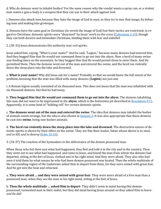d. Why do demons want to inhabit bodies? For the same reason why the vandal wants a spray can, or a violent man wants a gun-a body is a weapon that they can use in their attack against God.

i. Demons also attack men because they hate the image of God in man, so they try to mar that image, by debasing man and making him grotesque.

ii. Demons have the same goal in Christians (to wreck the image of God) but their tactics are restricted; in regard to Christians, demonic spirits were "disarmed" by Jesus' work on the cross ([Colossians 2:15\)](https://www.blueletterbible.org/kjv/Col/2/15/s_1109015), though they can both deceive and intimidate Christians, binding them with fear and unbelief.

2. (30-33) Jesus demonstrates His authority over evil spirits.

Jesus asked him, saying, "What is your name?" And he said, "Legion," because many demons had entered him. And they begged Him that He would not command them to go out into the abyss. Now a herd of many swine was feeding there on the mountain. So they begged Him that He would permit them to enter them. And He permitted them. Then the demons went out of the man and entered the swine, and the herd ran violently down the steep place into the lake and drowned.

a. **What is your name?** Why did Jesus ask for a name? Probably so that *we* would know the full extent of the problem, knowing that the man was filled with many demons (**Legion**) not just one.

i. A Roman legion usually consisted of six thousand men. This does not mean that the man was inhabited with six thousand demons, but that he had many.

b. **They begged Him that He would not command them to go out into the abyss**: The demons inhabiting this man did not want to be imprisoned in the **abyss**, which is the *bottomless pit* described in [Revelation 9:11.](https://www.blueletterbible.org/kjv/Rev/9/11/s_1176011)  Apparently, it is some kind of "holding cell" for certain demonic spirits.

c. **The demons went out of the man and entered the swine**: The idea that demons may inhabit the bodies of animals seems strange, but the idea is also shown in [Genesis 3.](https://www.blueletterbible.org/kjv/Gen/3/1-24/s_3001) It was also appropriate that these demons be cast into **swine**, being non-kosher animals.

d. **The herd ran violently down the steep place into the lake and drowned**: The destructive nature of demonic spirits is shown by their effect on the swine. They are like their leader, Satan whose desire is to *steal, and to kill, and to destroy* [\(John 10:10\).](https://www.blueletterbible.org/kjv/Jhn/10/10/s_1007010)

3. (34-37) The reaction of the bystanders to the deliverance of the demon possessed man.

When those who fed *them* saw what had happened, they fled and told *it* in the city and in the country. Then they went out to see what had happened, and came to Jesus, and found the man from whom the demons had departed, sitting at the feet of Jesus, clothed and in his right mind. And they were afraid. They also who had seen *it* told them by what means he who had been demon-possessed was healed. Then the whole multitude of the surrounding region of the Gadarenes asked Him to depart from them, for they were seized with great fear. And He got into the boat and returned.

a. **They were afraid … and they were seized with great fear**: They were more afraid of a free man than a possessed man; when they see the man in his right mind, sitting at the feet of Jesus.

b. **Then the whole multitude … asked Him to depart**: They didn't seem to mind having this demonpossessed, tormented man in their midst, but they did mind having Jesus around-so they asked Him to leave*and He did!*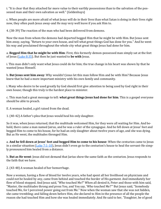i. "It is clear that they attached far more value to their earthly possessions than to the salvation of the possessed man and their own salvation as well." (Geldenhuys)

c. When people are more afraid of what Jesus will do in their lives than what Satan is doing in their lives right now, they often push Jesus away-and He may very well leave if you ask Him to.

4. (38-39) The reaction of the man who had been delivered from demons.

Now the man from whom the demons had departed begged Him that he might be with Him. But Jesus sent him away, saying, "Return to your own house, and tell what great things God has done for you." And he went his way and proclaimed throughout the whole city what great things Jesus had done for him.

a. **Begged Him that he might be with Him**: First, this formerly demon-possessed man simply sat at the feet of Jesus ([Luke 8:35\)](https://www.blueletterbible.org/kjv/Luk/8/35/s_981035). But then he just wanted to **be with** Jesus.

i. This man didn't only want what Jesus could do for him; the true change in his heart was shown by that he wanted Jesus Himself.

b. **But Jesus sent him away**: Why wouldn't Jesus let this man follow Him and be with Him? Because Jesus knew that he had a more important ministry with his own family and community.

i. Many who desire to be used greatly by God should first give attention to being used by God right in their own house; though this truly is the hardest place to minister.

c. This man had a great message to tell: **what great things Jesus had done for him**. This is a gospel everyone should be able to preach.

E. A woman healed, a girl raised from the dead.

1. (40-42) A father's plea that Jesus would heal his only daughter.

So it was, when Jesus returned, that the multitude welcomed Him, for they were all waiting for Him. And behold, there came a man named Jairus, and he was a ruler of the synagogue. And he fell down at Jesus' feet and begged Him to come to his house, for he had an only daughter about twelve years of age, and she was dying. But as He went, the multitudes thronged Him.

a. **And he fell down at Jesus' feet and begged Him to come to his house**: When the centurion came to Jesus in a similar situation [\(Luke 7:1](https://www.blueletterbible.org/kjv/Luk/7/1-10/s_980001)-10), Jesus didn't even go to the centurion's house to heal the servant-He simply pronounced him healed from a distance.

b. **But as He went**: Jesus did not demand that Jarius show the same faith as the centurion. Jesus responds to the faith that we have.

2. (43-48) A woman healed of her hemorrhage.

Now a woman, having a flow of blood for twelve years, who had spent all her livelihood on physicians and could not be healed by any, came from behind and touched the border of His garment. And immediately her flow of blood stopped. And Jesus said, "Who touched Me?" When all denied it, Peter and those with him said, "Master, the multitudes throng and press You, and You say, 'Who touched Me?'" But Jesus said, "Somebody touched Me, for I perceived power going out from Me." Now when the woman saw that she was not hidden, she came trembling; and falling down before Him, she declared to Him in the presence of all the people the reason she had touched Him and how she was healed immediately. And He said to her, "Daughter, be of good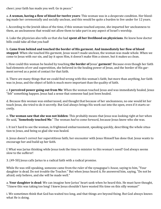cheer; your faith has made you well. Go in peace."

a. **A woman, having a flow of blood for twelve years**: This woman was in a desperate condition. Her bleeding made her ceremonially and socially unclean, and this would be quite a burden to live under for 12 years.

i. According to the Jewish ideas of the time, if this woman touched anyone, she imparted her uncleanness to them, an uncleanness that would not allow them to take part in any aspect of Israel's worship.

ii. Luke the physician also tells us that she had **spent all her livelihood on physicians**. He knew how doctor bills could take all that you had!

b. **Came from behind and touched the border of His garment. And immediately her flow of blood stopped**: When she touched His garment, Jesus wasn't made unclean, the woman was made whole. When we come to Jesus with our sin, and lay it upon Him, it doesn't make Him a sinner, but it makes us clean.

i. How could this woman be healed by touching **the border of** Jesus' **garment**? Because even though her faith had elements of err and superstition, she believed in the healing power of Jesus, and the border of His garment served as a point of contact for that faith.

ii. There are many things that we could find wrong with this woman's faith; but more than anything, her faith was in *Jesus*, and the object of faith is much more important than the quality of faith.

c. **I perceived power going out from Me**: When the woman touched Jesus and was immediately healed, Jesus "felt" something happen. Jesus had a sense that someone had just been healed.

d. Because this woman was embarrassed, and thought that because of her uncleanness, no one would let her touch Jesus, she tried to do it secretly. But God always brings His work out into the open, even if it starts secretly.

e. **The woman saw that she was not hidden**: This probably means that Jesus was looking right at her when He said, "**Somebody touched Me**." The woman *had* to come forward, because Jesus knew who she was.

i. It isn't hard to see the woman, in frightened embarrassment, speaking quickly, describing the whole situation to Jesus, and being so glad she was healed.

ii. Jesus doesn't correct her superstitious faith; her encounter with Jesus Himself has done that. Jesus wants to encourage her and build up her faith.

f. What was Jarius thinking while Jesus took the time to minister to this woman's need? God always seems slow to the sufferer!

3. (49-50) Jesus calls Jarius to a radical faith with a radical promise.

While He was still speaking, someone came from the ruler of the synagogue's *house,* saying to him, "Your daughter is dead. Do not trouble the Teacher." But when Jesus heard *it,* He answered him, saying, "Do not be afraid; only believe, and she will be made well."

a. **Your daughter is dead**: We can imagine how Jarius' heart sank when he heard this. He must have thought, "I knew this was taking too long! I knew Jesus shouldn't have wasted His time on this silly woman!"

i. We sometimes think that God has waited too long, and that things are beyond fixing. But God always knows what He is doing.